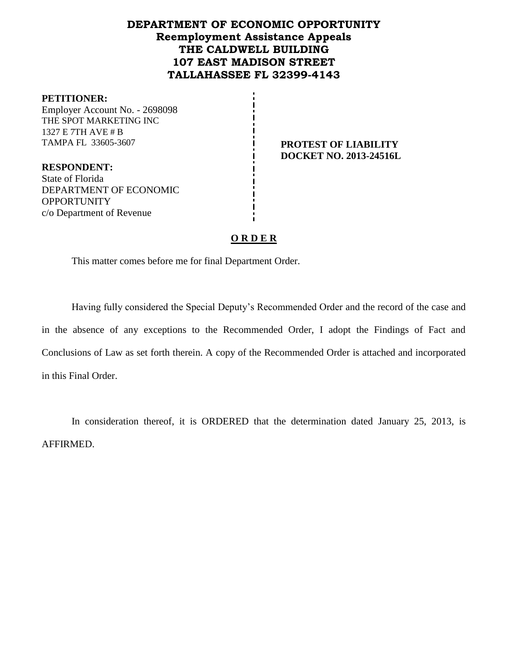# **DEPARTMENT OF ECONOMIC OPPORTUNITY Reemployment Assistance Appeals THE CALDWELL BUILDING 107 EAST MADISON STREET TALLAHASSEE FL 32399-4143**

#### **PETITIONER:**

Employer Account No. - 2698098 THE SPOT MARKETING INC 1327 E 7TH AVE # B TAMPA FL 33605-3607 **PROTEST OF LIABILITY** 

**DOCKET NO. 2013-24516L**

**RESPONDENT:** State of Florida DEPARTMENT OF ECONOMIC **OPPORTUNITY** c/o Department of Revenue

## **O R D E R**

This matter comes before me for final Department Order.

Having fully considered the Special Deputy's Recommended Order and the record of the case and in the absence of any exceptions to the Recommended Order, I adopt the Findings of Fact and Conclusions of Law as set forth therein. A copy of the Recommended Order is attached and incorporated in this Final Order.

In consideration thereof, it is ORDERED that the determination dated January 25, 2013, is AFFIRMED.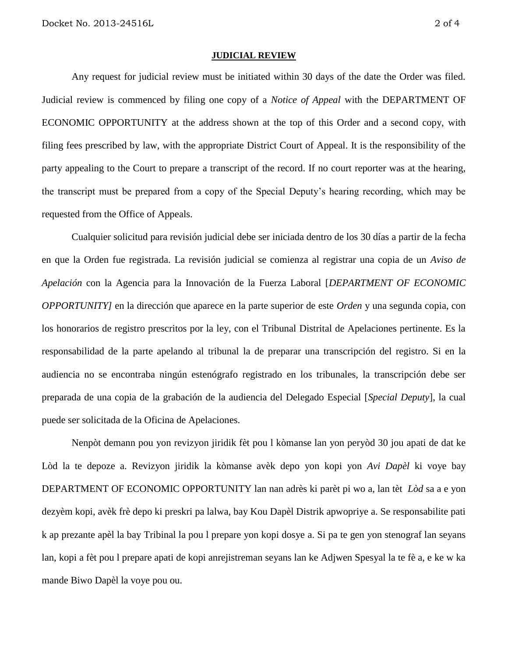#### **JUDICIAL REVIEW**

Any request for judicial review must be initiated within 30 days of the date the Order was filed. Judicial review is commenced by filing one copy of a *Notice of Appeal* with the DEPARTMENT OF ECONOMIC OPPORTUNITY at the address shown at the top of this Order and a second copy, with filing fees prescribed by law, with the appropriate District Court of Appeal. It is the responsibility of the party appealing to the Court to prepare a transcript of the record. If no court reporter was at the hearing, the transcript must be prepared from a copy of the Special Deputy's hearing recording, which may be requested from the Office of Appeals.

Cualquier solicitud para revisión judicial debe ser iniciada dentro de los 30 días a partir de la fecha en que la Orden fue registrada. La revisión judicial se comienza al registrar una copia de un *Aviso de Apelación* con la Agencia para la Innovación de la Fuerza Laboral [*DEPARTMENT OF ECONOMIC OPPORTUNITY]* en la dirección que aparece en la parte superior de este *Orden* y una segunda copia, con los honorarios de registro prescritos por la ley, con el Tribunal Distrital de Apelaciones pertinente. Es la responsabilidad de la parte apelando al tribunal la de preparar una transcripción del registro. Si en la audiencia no se encontraba ningún estenógrafo registrado en los tribunales, la transcripción debe ser preparada de una copia de la grabación de la audiencia del Delegado Especial [*Special Deputy*], la cual puede ser solicitada de la Oficina de Apelaciones.

Nenpòt demann pou yon revizyon jiridik fèt pou l kòmanse lan yon peryòd 30 jou apati de dat ke Lòd la te depoze a. Revizyon jiridik la kòmanse avèk depo yon kopi yon *Avi Dapèl* ki voye bay DEPARTMENT OF ECONOMIC OPPORTUNITY lan nan adrès ki parèt pi wo a, lan tèt *Lòd* sa a e yon dezyèm kopi, avèk frè depo ki preskri pa lalwa, bay Kou Dapèl Distrik apwopriye a. Se responsabilite pati k ap prezante apèl la bay Tribinal la pou l prepare yon kopi dosye a. Si pa te gen yon stenograf lan seyans lan, kopi a fèt pou l prepare apati de kopi anrejistreman seyans lan ke Adjwen Spesyal la te fè a, e ke w ka mande Biwo Dapèl la voye pou ou.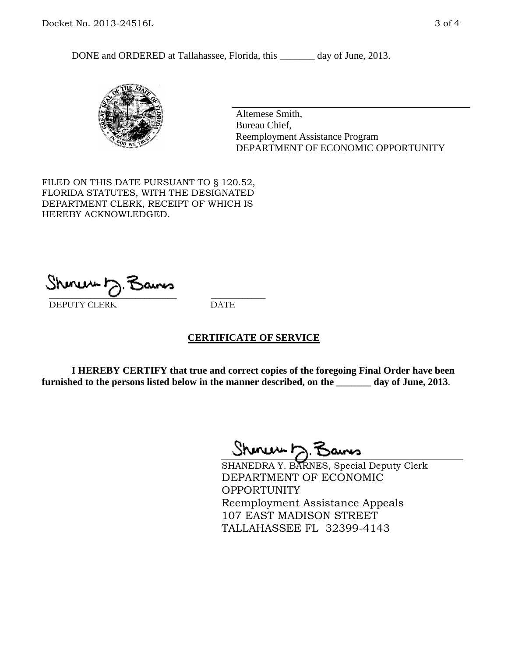DONE and ORDERED at Tallahassee, Florida, this \_\_\_\_\_\_\_ day of June, 2013.



Altemese Smith, Bureau Chief, Reemployment Assistance Program DEPARTMENT OF ECONOMIC OPPORTUNITY

FILED ON THIS DATE PURSUANT TO § 120.52, FLORIDA STATUTES, WITH THE DESIGNATED DEPARTMENT CLERK, RECEIPT OF WHICH IS HEREBY ACKNOWLEDGED.

 $\overline{\phantom{a}}$  ,  $\overline{\phantom{a}}$  ,  $\overline{\phantom{a}}$  ,  $\overline{\phantom{a}}$  ,  $\overline{\phantom{a}}$  ,  $\overline{\phantom{a}}$  ,  $\overline{\phantom{a}}$  ,  $\overline{\phantom{a}}$  ,  $\overline{\phantom{a}}$  ,  $\overline{\phantom{a}}$  ,  $\overline{\phantom{a}}$  ,  $\overline{\phantom{a}}$  ,  $\overline{\phantom{a}}$  ,  $\overline{\phantom{a}}$  ,  $\overline{\phantom{a}}$  ,  $\overline{\phantom{a}}$ DEPUTY CLERK DATE

## **CERTIFICATE OF SERVICE**

**I HEREBY CERTIFY that true and correct copies of the foregoing Final Order have been furnished to the persons listed below in the manner described, on the \_\_\_\_\_\_\_ day of June, 2013**.

Shenux D.F

SHANEDRA Y. BARNES, Special Deputy Clerk DEPARTMENT OF ECONOMIC **OPPORTUNITY** Reemployment Assistance Appeals 107 EAST MADISON STREET TALLAHASSEE FL 32399-4143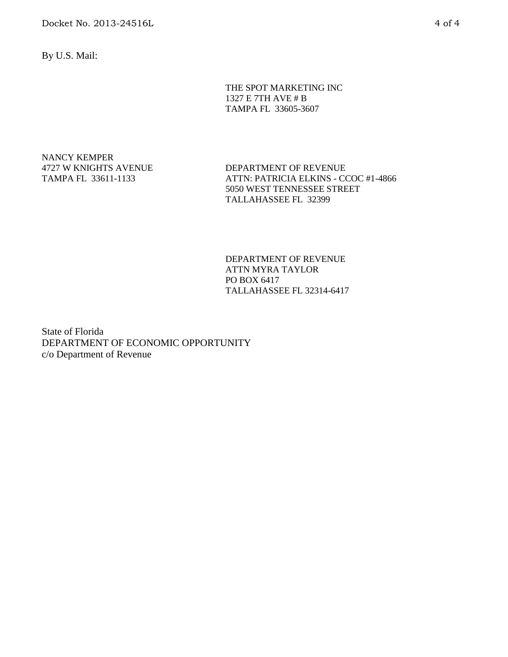By U.S. Mail:

THE SPOT MARKETING INC 1327 E 7TH AVE # B TAMPA FL 33605-3607

NANCY KEMPER 4727 W KNIGHTS AVENUE TAMPA FL 33611-1133

DEPARTMENT OF REVENUE ATTN: PATRICIA ELKINS - CCOC #1-4866 5050 WEST TENNESSEE STREET TALLAHASSEE FL 32399

DEPARTMENT OF REVENUE ATTN MYRA TAYLOR PO BOX 6417 TALLAHASSEE FL 32314-6417

State of Florida DEPARTMENT OF ECONOMIC OPPORTUNITY c/o Department of Revenue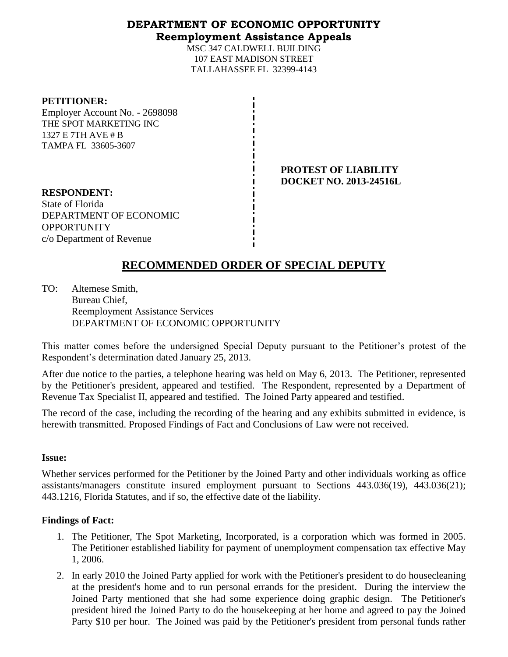## **DEPARTMENT OF ECONOMIC OPPORTUNITY Reemployment Assistance Appeals**

MSC 347 CALDWELL BUILDING 107 EAST MADISON STREET TALLAHASSEE FL 32399-4143

#### **PETITIONER:**

Employer Account No. - 2698098 THE SPOT MARKETING INC 1327 E 7TH AVE # B TAMPA FL 33605-3607

> **PROTEST OF LIABILITY DOCKET NO. 2013-24516L**

**RESPONDENT:** State of Florida DEPARTMENT OF ECONOMIC OPPORTUNITY c/o Department of Revenue

# **RECOMMENDED ORDER OF SPECIAL DEPUTY**

TO: Altemese Smith, Bureau Chief, Reemployment Assistance Services DEPARTMENT OF ECONOMIC OPPORTUNITY

This matter comes before the undersigned Special Deputy pursuant to the Petitioner's protest of the Respondent's determination dated January 25, 2013.

After due notice to the parties, a telephone hearing was held on May 6, 2013. The Petitioner, represented by the Petitioner's president, appeared and testified. The Respondent, represented by a Department of Revenue Tax Specialist II, appeared and testified. The Joined Party appeared and testified.

The record of the case, including the recording of the hearing and any exhibits submitted in evidence, is herewith transmitted. Proposed Findings of Fact and Conclusions of Law were not received.

## **Issue:**

Whether services performed for the Petitioner by the Joined Party and other individuals working as office assistants/managers constitute insured employment pursuant to Sections 443.036(19), 443.036(21); 443.1216, Florida Statutes, and if so, the effective date of the liability.

## **Findings of Fact:**

- 1. The Petitioner, The Spot Marketing, Incorporated, is a corporation which was formed in 2005. The Petitioner established liability for payment of unemployment compensation tax effective May 1, 2006.
- 2. In early 2010 the Joined Party applied for work with the Petitioner's president to do housecleaning at the president's home and to run personal errands for the president. During the interview the Joined Party mentioned that she had some experience doing graphic design. The Petitioner's president hired the Joined Party to do the housekeeping at her home and agreed to pay the Joined Party \$10 per hour. The Joined was paid by the Petitioner's president from personal funds rather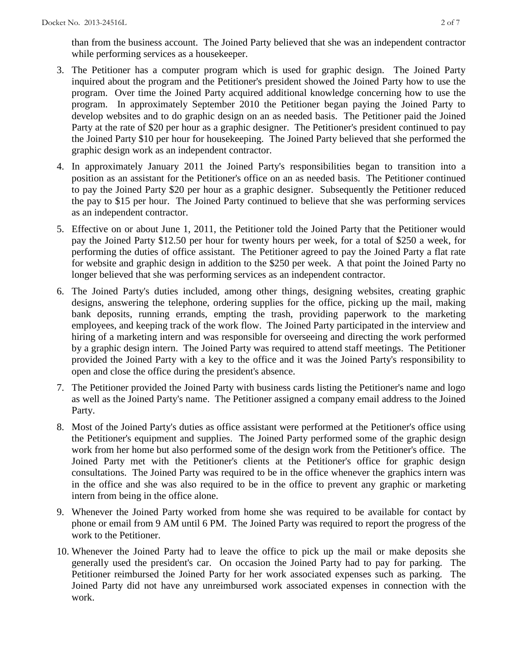than from the business account. The Joined Party believed that she was an independent contractor while performing services as a housekeeper.

- 3. The Petitioner has a computer program which is used for graphic design. The Joined Party inquired about the program and the Petitioner's president showed the Joined Party how to use the program. Over time the Joined Party acquired additional knowledge concerning how to use the program. In approximately September 2010 the Petitioner began paying the Joined Party to develop websites and to do graphic design on an as needed basis. The Petitioner paid the Joined Party at the rate of \$20 per hour as a graphic designer. The Petitioner's president continued to pay the Joined Party \$10 per hour for housekeeping. The Joined Party believed that she performed the graphic design work as an independent contractor.
- 4. In approximately January 2011 the Joined Party's responsibilities began to transition into a position as an assistant for the Petitioner's office on an as needed basis. The Petitioner continued to pay the Joined Party \$20 per hour as a graphic designer. Subsequently the Petitioner reduced the pay to \$15 per hour. The Joined Party continued to believe that she was performing services as an independent contractor.
- 5. Effective on or about June 1, 2011, the Petitioner told the Joined Party that the Petitioner would pay the Joined Party \$12.50 per hour for twenty hours per week, for a total of \$250 a week, for performing the duties of office assistant. The Petitioner agreed to pay the Joined Party a flat rate for website and graphic design in addition to the \$250 per week. A that point the Joined Party no longer believed that she was performing services as an independent contractor.
- 6. The Joined Party's duties included, among other things, designing websites, creating graphic designs, answering the telephone, ordering supplies for the office, picking up the mail, making bank deposits, running errands, empting the trash, providing paperwork to the marketing employees, and keeping track of the work flow. The Joined Party participated in the interview and hiring of a marketing intern and was responsible for overseeing and directing the work performed by a graphic design intern. The Joined Party was required to attend staff meetings. The Petitioner provided the Joined Party with a key to the office and it was the Joined Party's responsibility to open and close the office during the president's absence.
- 7. The Petitioner provided the Joined Party with business cards listing the Petitioner's name and logo as well as the Joined Party's name. The Petitioner assigned a company email address to the Joined Party.
- 8. Most of the Joined Party's duties as office assistant were performed at the Petitioner's office using the Petitioner's equipment and supplies. The Joined Party performed some of the graphic design work from her home but also performed some of the design work from the Petitioner's office. The Joined Party met with the Petitioner's clients at the Petitioner's office for graphic design consultations. The Joined Party was required to be in the office whenever the graphics intern was in the office and she was also required to be in the office to prevent any graphic or marketing intern from being in the office alone.
- 9. Whenever the Joined Party worked from home she was required to be available for contact by phone or email from 9 AM until 6 PM. The Joined Party was required to report the progress of the work to the Petitioner.
- 10. Whenever the Joined Party had to leave the office to pick up the mail or make deposits she generally used the president's car. On occasion the Joined Party had to pay for parking. The Petitioner reimbursed the Joined Party for her work associated expenses such as parking. The Joined Party did not have any unreimbursed work associated expenses in connection with the work.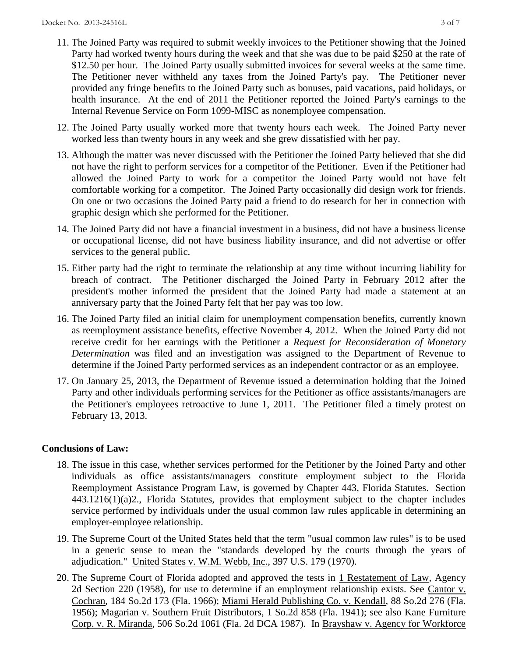- 11. The Joined Party was required to submit weekly invoices to the Petitioner showing that the Joined Party had worked twenty hours during the week and that she was due to be paid \$250 at the rate of \$12.50 per hour. The Joined Party usually submitted invoices for several weeks at the same time. The Petitioner never withheld any taxes from the Joined Party's pay. The Petitioner never provided any fringe benefits to the Joined Party such as bonuses, paid vacations, paid holidays, or health insurance. At the end of 2011 the Petitioner reported the Joined Party's earnings to the Internal Revenue Service on Form 1099-MISC as nonemployee compensation.
- 12. The Joined Party usually worked more that twenty hours each week. The Joined Party never worked less than twenty hours in any week and she grew dissatisfied with her pay.
- 13. Although the matter was never discussed with the Petitioner the Joined Party believed that she did not have the right to perform services for a competitor of the Petitioner. Even if the Petitioner had allowed the Joined Party to work for a competitor the Joined Party would not have felt comfortable working for a competitor. The Joined Party occasionally did design work for friends. On one or two occasions the Joined Party paid a friend to do research for her in connection with graphic design which she performed for the Petitioner.
- 14. The Joined Party did not have a financial investment in a business, did not have a business license or occupational license, did not have business liability insurance, and did not advertise or offer services to the general public.
- 15. Either party had the right to terminate the relationship at any time without incurring liability for breach of contract. The Petitioner discharged the Joined Party in February 2012 after the president's mother informed the president that the Joined Party had made a statement at an anniversary party that the Joined Party felt that her pay was too low.
- 16. The Joined Party filed an initial claim for unemployment compensation benefits, currently known as reemployment assistance benefits, effective November 4, 2012. When the Joined Party did not receive credit for her earnings with the Petitioner a *Request for Reconsideration of Monetary Determination* was filed and an investigation was assigned to the Department of Revenue to determine if the Joined Party performed services as an independent contractor or as an employee.
- 17. On January 25, 2013, the Department of Revenue issued a determination holding that the Joined Party and other individuals performing services for the Petitioner as office assistants/managers are the Petitioner's employees retroactive to June 1, 2011. The Petitioner filed a timely protest on February 13, 2013.

## **Conclusions of Law:**

- 18. The issue in this case, whether services performed for the Petitioner by the Joined Party and other individuals as office assistants/managers constitute employment subject to the Florida Reemployment Assistance Program Law, is governed by Chapter 443, Florida Statutes. Section 443.1216(1)(a)2., Florida Statutes, provides that employment subject to the chapter includes service performed by individuals under the usual common law rules applicable in determining an employer-employee relationship.
- 19. The Supreme Court of the United States held that the term "usual common law rules" is to be used in a generic sense to mean the "standards developed by the courts through the years of adjudication." United States v. W.M. Webb, Inc., 397 U.S. 179 (1970).
- 20. The Supreme Court of Florida adopted and approved the tests in 1 Restatement of Law, Agency 2d Section 220 (1958), for use to determine if an employment relationship exists. See Cantor v. Cochran, 184 So.2d 173 (Fla. 1966); Miami Herald Publishing Co. v. Kendall, 88 So.2d 276 (Fla. 1956); Magarian v. Southern Fruit Distributors, 1 So.2d 858 (Fla. 1941); see also Kane Furniture Corp. v. R. Miranda, 506 So.2d 1061 (Fla. 2d DCA 1987). In Brayshaw v. Agency for Workforce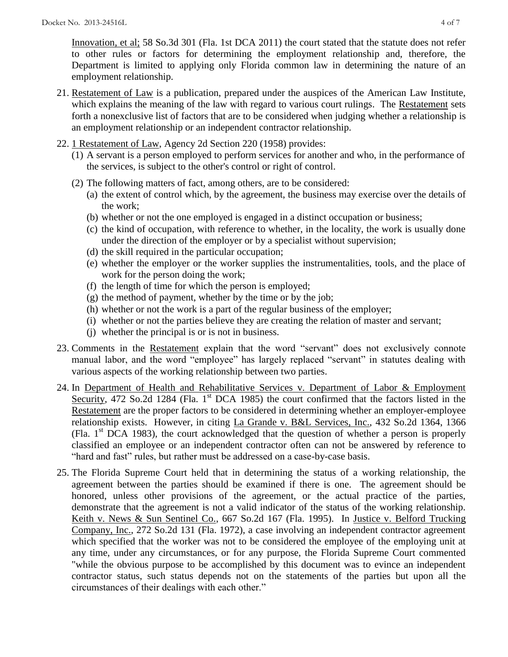Innovation, et al; 58 So.3d 301 (Fla. 1st DCA 2011) the court stated that the statute does not refer to other rules or factors for determining the employment relationship and, therefore, the Department is limited to applying only Florida common law in determining the nature of an employment relationship.

- 21. Restatement of Law is a publication, prepared under the auspices of the American Law Institute, which explains the meaning of the law with regard to various court rulings. The Restatement sets forth a nonexclusive list of factors that are to be considered when judging whether a relationship is an employment relationship or an independent contractor relationship.
- 22. 1 Restatement of Law, Agency 2d Section 220 (1958) provides:
	- (1) A servant is a person employed to perform services for another and who, in the performance of the services, is subject to the other's control or right of control.
	- (2) The following matters of fact, among others, are to be considered:
		- (a) the extent of control which, by the agreement, the business may exercise over the details of the work;
		- (b) whether or not the one employed is engaged in a distinct occupation or business;
		- (c) the kind of occupation, with reference to whether, in the locality, the work is usually done under the direction of the employer or by a specialist without supervision;
		- (d) the skill required in the particular occupation;
		- (e) whether the employer or the worker supplies the instrumentalities, tools, and the place of work for the person doing the work;
		- (f) the length of time for which the person is employed;
		- (g) the method of payment, whether by the time or by the job;
		- (h) whether or not the work is a part of the regular business of the employer;
		- (i) whether or not the parties believe they are creating the relation of master and servant;
		- (j) whether the principal is or is not in business.
- 23. Comments in the Restatement explain that the word "servant" does not exclusively connote manual labor, and the word "employee" has largely replaced "servant" in statutes dealing with various aspects of the working relationship between two parties.
- 24. In Department of Health and Rehabilitative Services v. Department of Labor & Employment Security, 472 So.2d 1284 (Fla. 1<sup>st</sup> DCA 1985) the court confirmed that the factors listed in the Restatement are the proper factors to be considered in determining whether an employer-employee relationship exists. However, in citing La Grande v. B&L Services, Inc., 432 So.2d 1364, 1366 (Fla.  $1<sup>st</sup> DCA$  1983), the court acknowledged that the question of whether a person is properly classified an employee or an independent contractor often can not be answered by reference to "hard and fast" rules, but rather must be addressed on a case-by-case basis.
- 25. The Florida Supreme Court held that in determining the status of a working relationship, the agreement between the parties should be examined if there is one. The agreement should be honored, unless other provisions of the agreement, or the actual practice of the parties, demonstrate that the agreement is not a valid indicator of the status of the working relationship. Keith v. News & Sun Sentinel Co., 667 So.2d 167 (Fla. 1995). In Justice v. Belford Trucking Company, Inc., 272 So.2d 131 (Fla. 1972), a case involving an independent contractor agreement which specified that the worker was not to be considered the employee of the employing unit at any time, under any circumstances, or for any purpose, the Florida Supreme Court commented "while the obvious purpose to be accomplished by this document was to evince an independent contractor status, such status depends not on the statements of the parties but upon all the circumstances of their dealings with each other."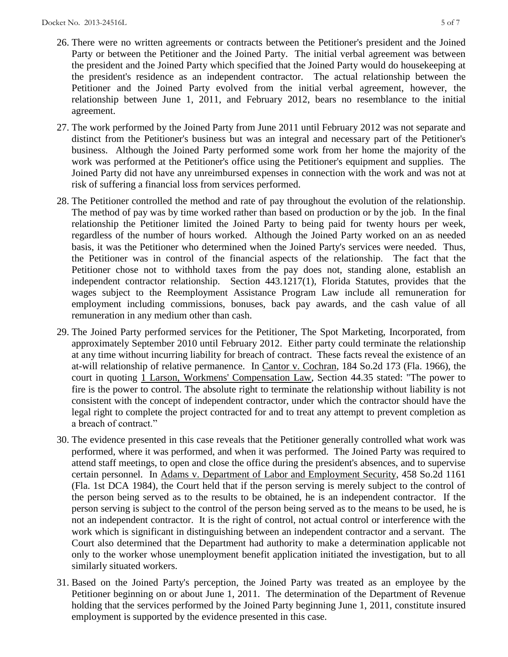- 26. There were no written agreements or contracts between the Petitioner's president and the Joined Party or between the Petitioner and the Joined Party. The initial verbal agreement was between the president and the Joined Party which specified that the Joined Party would do housekeeping at the president's residence as an independent contractor. The actual relationship between the Petitioner and the Joined Party evolved from the initial verbal agreement, however, the relationship between June 1, 2011, and February 2012, bears no resemblance to the initial agreement.
- 27. The work performed by the Joined Party from June 2011 until February 2012 was not separate and distinct from the Petitioner's business but was an integral and necessary part of the Petitioner's business. Although the Joined Party performed some work from her home the majority of the work was performed at the Petitioner's office using the Petitioner's equipment and supplies. The Joined Party did not have any unreimbursed expenses in connection with the work and was not at risk of suffering a financial loss from services performed.
- 28. The Petitioner controlled the method and rate of pay throughout the evolution of the relationship. The method of pay was by time worked rather than based on production or by the job. In the final relationship the Petitioner limited the Joined Party to being paid for twenty hours per week, regardless of the number of hours worked. Although the Joined Party worked on an as needed basis, it was the Petitioner who determined when the Joined Party's services were needed. Thus, the Petitioner was in control of the financial aspects of the relationship. The fact that the Petitioner chose not to withhold taxes from the pay does not, standing alone, establish an independent contractor relationship. Section 443.1217(1), Florida Statutes, provides that the wages subject to the Reemployment Assistance Program Law include all remuneration for employment including commissions, bonuses, back pay awards, and the cash value of all remuneration in any medium other than cash.
- 29. The Joined Party performed services for the Petitioner, The Spot Marketing, Incorporated, from approximately September 2010 until February 2012. Either party could terminate the relationship at any time without incurring liability for breach of contract. These facts reveal the existence of an at-will relationship of relative permanence. In Cantor v. Cochran, 184 So.2d 173 (Fla. 1966), the court in quoting 1 Larson, Workmens' Compensation Law, Section 44.35 stated: "The power to fire is the power to control. The absolute right to terminate the relationship without liability is not consistent with the concept of independent contractor, under which the contractor should have the legal right to complete the project contracted for and to treat any attempt to prevent completion as a breach of contract."
- 30. The evidence presented in this case reveals that the Petitioner generally controlled what work was performed, where it was performed, and when it was performed. The Joined Party was required to attend staff meetings, to open and close the office during the president's absences, and to supervise certain personnel. In Adams v. Department of Labor and Employment Security, 458 So.2d 1161 (Fla. 1st DCA 1984), the Court held that if the person serving is merely subject to the control of the person being served as to the results to be obtained, he is an independent contractor. If the person serving is subject to the control of the person being served as to the means to be used, he is not an independent contractor. It is the right of control, not actual control or interference with the work which is significant in distinguishing between an independent contractor and a servant. The Court also determined that the Department had authority to make a determination applicable not only to the worker whose unemployment benefit application initiated the investigation, but to all similarly situated workers.
- 31. Based on the Joined Party's perception, the Joined Party was treated as an employee by the Petitioner beginning on or about June 1, 2011. The determination of the Department of Revenue holding that the services performed by the Joined Party beginning June 1, 2011, constitute insured employment is supported by the evidence presented in this case.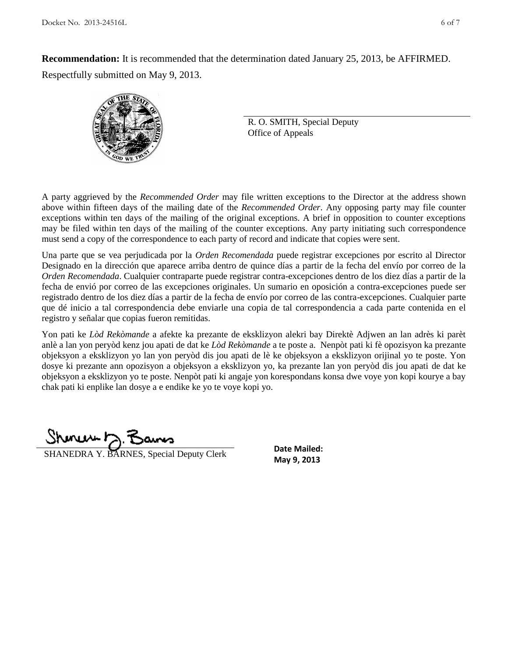**Recommendation:** It is recommended that the determination dated January 25, 2013, be AFFIRMED. Respectfully submitted on May 9, 2013.



R. O. SMITH, Special Deputy Office of Appeals

A party aggrieved by the *Recommended Order* may file written exceptions to the Director at the address shown above within fifteen days of the mailing date of the *Recommended Order*. Any opposing party may file counter exceptions within ten days of the mailing of the original exceptions. A brief in opposition to counter exceptions may be filed within ten days of the mailing of the counter exceptions. Any party initiating such correspondence must send a copy of the correspondence to each party of record and indicate that copies were sent.

Una parte que se vea perjudicada por la *Orden Recomendada* puede registrar excepciones por escrito al Director Designado en la dirección que aparece arriba dentro de quince días a partir de la fecha del envío por correo de la *Orden Recomendada*. Cualquier contraparte puede registrar contra-excepciones dentro de los diez días a partir de la fecha de envió por correo de las excepciones originales. Un sumario en oposición a contra-excepciones puede ser registrado dentro de los diez días a partir de la fecha de envío por correo de las contra-excepciones. Cualquier parte que dé inicio a tal correspondencia debe enviarle una copia de tal correspondencia a cada parte contenida en el registro y señalar que copias fueron remitidas.

Yon pati ke *Lòd Rekòmande* a afekte ka prezante de eksklizyon alekri bay Direktè Adjwen an lan adrès ki parèt anlè a lan yon peryòd kenz jou apati de dat ke *Lòd Rekòmande* a te poste a. Nenpòt pati ki fè opozisyon ka prezante objeksyon a eksklizyon yo lan yon peryòd dis jou apati de lè ke objeksyon a eksklizyon orijinal yo te poste. Yon dosye ki prezante ann opozisyon a objeksyon a eksklizyon yo, ka prezante lan yon peryòd dis jou apati de dat ke objeksyon a eksklizyon yo te poste. Nenpòt pati ki angaje yon korespondans konsa dwe voye yon kopi kourye a bay chak pati ki enplike lan dosye a e endike ke yo te voye kopi yo.

**SHANEDRA Y. BARNES, Special Deputy Clerk** May 9, 2013

**Date Mailed:**